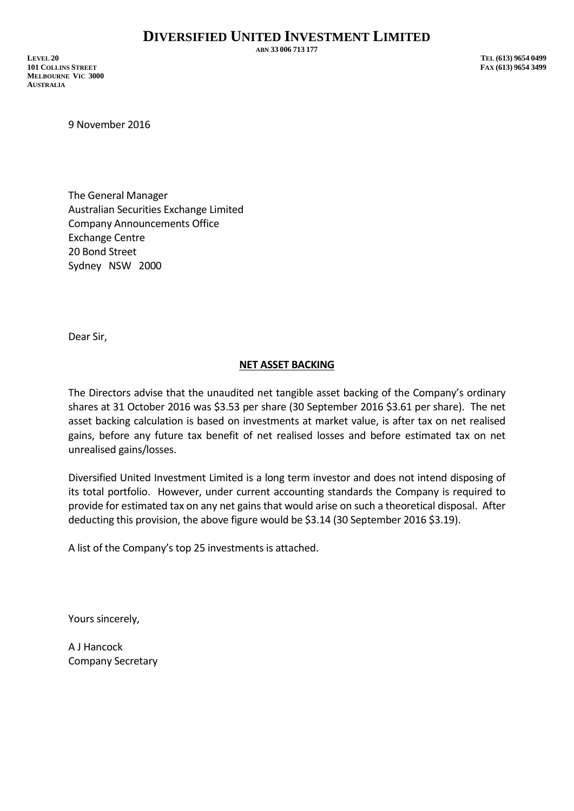**ABN 33 006 713 177**

**LEVEL 20 TEL (613) 9654 0499 101 COLLINS STREET FAX (613) 9654 3499 MELBOURNE VIC 3000 AUSTRALIA**

9 November 2016

The General Manager Australian Securities Exchange Limited Company Announcements Office Exchange Centre 20 Bond Street Sydney NSW 2000

Dear Sir,

## **NET ASSET BACKING**

The Directors advise that the unaudited net tangible asset backing of the Company's ordinary shares at 31 October 2016 was \$3.53 per share (30 September 2016 \$3.61 per share). The net asset backing calculation is based on investments at market value, is after tax on net realised gains, before any future tax benefit of net realised losses and before estimated tax on net unrealised gains/losses.

Diversified United Investment Limited is a long term investor and does not intend disposing of its total portfolio. However, under current accounting standards the Company is required to provide for estimated tax on any net gains that would arise on such a theoretical disposal. After deducting this provision, the above figure would be \$3.14 (30 September 2016 \$3.19).

A list of the Company's top 25 investments is attached.

Yours sincerely,

A J Hancock Company Secretary